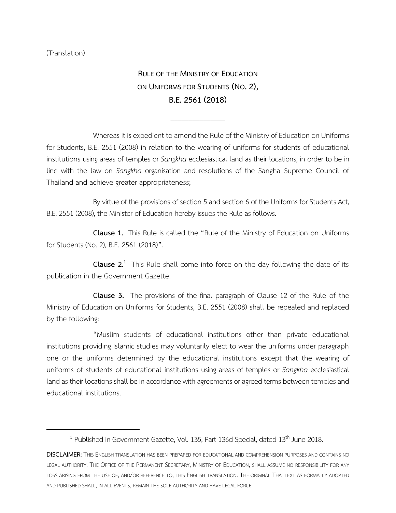(Translation)

l

**RULE OF THE MINISTRY OF EDUCATION ON UNIFORMS FOR STUDENTS (NO.2), B.E.2561(2018)**

\_\_\_\_\_\_\_\_\_\_\_\_\_\_\_

Whereas it is expedient to amend the Rule of the Ministry of Education on Uniforms for Students, B.E. 2551 (2008) in relation to the wearing of uniforms for students of educational institutions using areas of temples or *Sangkha*ecclesiastical land as their locations, in order to be in line with the law on *Sangkha* organisation and resolutions of the Sangha Supreme Council of Thailand and achieve greater appropriateness;

By virtue of the provisions of section 5 and section 6 of the Uniforms for Students Act, B.E. 2551 (2008), the Minister of Education hereby issues the Rule as follows.

**Clause 1.** This Rule is called the "Rule of the Ministry of Education on Uniforms for Students (No. 2), B.E. 2561 (2018)".

**Clause 2.**<sup>1</sup> This Rule shall come into force on the day following the date of its publication in the Government Gazette.

**Clause 3.** The provisions of the final paragraph of Clause 12 of the Rule of the Ministry of Education on Uniforms for Students, B.E. 2551 (2008) shall be repealed and replaced by the following:

"Muslim students of educational institutions other than private educational institutions providing Islamic studies may voluntarily elect to wear the uniforms under paragraph one or the uniforms determined by the educational institutions except that the wearing of uniforms of students of educational institutions using areas of temples or *Sangkha* ecclesiastical land as their locations shall be in accordance with agreements or agreed terms between temples and educational institutions.

<sup>&</sup>lt;sup>1</sup> Published in Government Gazette, Vol. 135, Part 136d Special, dated 13<sup>th</sup> June 2018.

**DISCLAIMER:**THIS ENGLISH TRANSLATION HAS BEEN PREPARED FOR EDUCATIONAL AND COMPREHENSION PURPOSES AND CONTAINS NO LEGAL AUTHORITY. THE OFFICE OF THE PERMANENT SECRETARY, MINISTRY OF EDUCATION, SHALL ASSUME NO RESPONSIBILITY FOR ANY LOSS ARISING FROM THE USE OF, AND/OR REFERENCE TO, THIS ENGLISH TRANSLATION. THE ORIGINAL THAI TEXT AS FORMALLY ADOPTED AND PUBLISHED SHALL, IN ALL EVENTS, REMAIN THE SOLE AUTHORITY AND HAVE LEGAL FORCE.